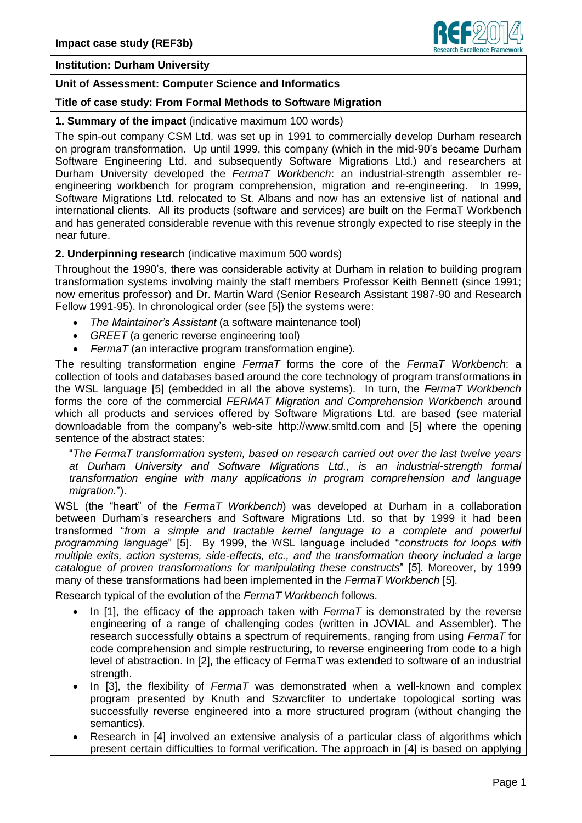

### **Institution: Durham University**

## **Unit of Assessment: Computer Science and Informatics**

## **Title of case study: From Formal Methods to Software Migration**

#### **1. Summary of the impact** (indicative maximum 100 words)

The spin-out company CSM Ltd. was set up in 1991 to commercially develop Durham research on program transformation. Up until 1999, this company (which in the mid-90's became Durham Software Engineering Ltd. and subsequently Software Migrations Ltd.) and researchers at Durham University developed the *FermaT Workbench*: an industrial-strength assembler reengineering workbench for program comprehension, migration and re-engineering. In 1999, Software Migrations Ltd. relocated to St. Albans and now has an extensive list of national and international clients. All its products (software and services) are built on the FermaT Workbench and has generated considerable revenue with this revenue strongly expected to rise steeply in the near future.

# **2. Underpinning research** (indicative maximum 500 words)

Throughout the 1990's, there was considerable activity at Durham in relation to building program transformation systems involving mainly the staff members Professor Keith Bennett (since 1991; now emeritus professor) and Dr. Martin Ward (Senior Research Assistant 1987-90 and Research Fellow 1991-95). In chronological order (see [5]) the systems were:

- *The Maintainer's Assistant* (a software maintenance tool)
- *GREET* (a generic reverse engineering tool)
- *FermaT* (an interactive program transformation engine).

The resulting transformation engine *FermaT* forms the core of the *FermaT Workbench*: a collection of tools and databases based around the core technology of program transformations in the WSL language [5] (embedded in all the above systems). In turn, the *FermaT Workbench* forms the core of the commercial *FERMAT Migration and Comprehension Workbench* around which all products and services offered by Software Migrations Ltd. are based (see material downloadable from the company's web-site http://www.smltd.com and [5] where the opening sentence of the abstract states:

"*The FermaT transformation system, based on research carried out over the last twelve years at Durham University and Software Migrations Ltd., is an industrial-strength formal transformation engine with many applications in program comprehension and language migration.*").

WSL (the "heart" of the *FermaT Workbench*) was developed at Durham in a collaboration between Durham's researchers and Software Migrations Ltd. so that by 1999 it had been transformed "*from a simple and tractable kernel language to a complete and powerful programming language*" [5]. By 1999, the WSL language included "*constructs for loops with multiple exits, action systems, side-effects, etc., and the transformation theory included a large catalogue of proven transformations for manipulating these constructs*" [5]. Moreover, by 1999 many of these transformations had been implemented in the *FermaT Workbench* [5].

Research typical of the evolution of the *FermaT Workbench* follows.

- In [1], the efficacy of the approach taken with *FermaT* is demonstrated by the reverse engineering of a range of challenging codes (written in JOVIAL and Assembler). The research successfully obtains a spectrum of requirements, ranging from using *FermaT* for code comprehension and simple restructuring, to reverse engineering from code to a high level of abstraction. In [2], the efficacy of FermaT was extended to software of an industrial strength.
- In [3], the flexibility of *FermaT* was demonstrated when a well-known and complex program presented by Knuth and Szwarcfiter to undertake topological sorting was successfully reverse engineered into a more structured program (without changing the semantics).
- Research in [4] involved an extensive analysis of a particular class of algorithms which present certain difficulties to formal verification. The approach in [4] is based on applying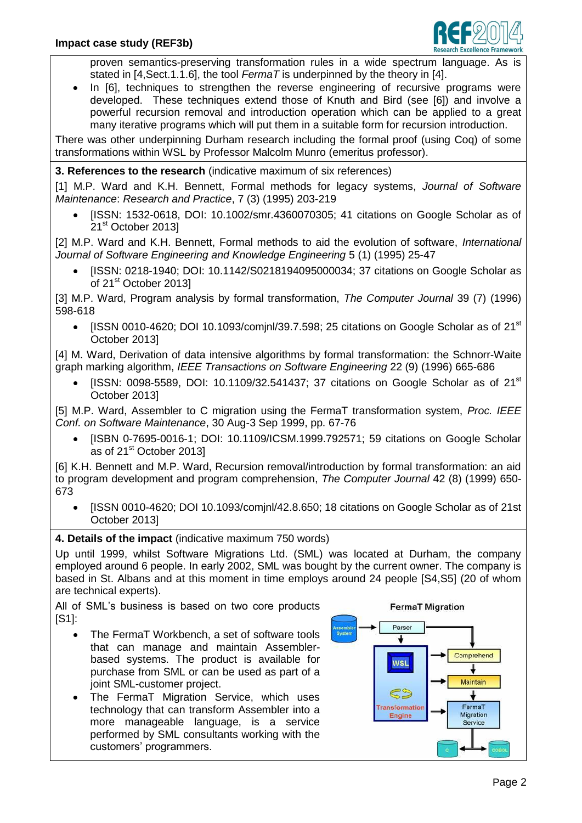

proven semantics-preserving transformation rules in a wide spectrum language. As is stated in [4,Sect.1.1.6], the tool *FermaT* is underpinned by the theory in [4].

In [6], techniques to strengthen the reverse engineering of recursive programs were developed. These techniques extend those of Knuth and Bird (see [6]) and involve a powerful recursion removal and introduction operation which can be applied to a great many iterative programs which will put them in a suitable form for recursion introduction.

There was other underpinning Durham research including the formal proof (using Coq) of some transformations within WSL by Professor Malcolm Munro (emeritus professor).

# **3. References to the research** (indicative maximum of six references)

[1] M.P. Ward and K.H. Bennett, Formal methods for legacy systems, *Journal of Software Maintenance*: *Research and Practice*, 7 (3) (1995) 203-219

 [ISSN: 1532-0618, DOI: 10.1002/smr.4360070305; 41 citations on Google Scholar as of 21<sup>st</sup> October 2013]

[2] M.P. Ward and K.H. Bennett, Formal methods to aid the evolution of software, *International Journal of Software Engineering and Knowledge Engineering* 5 (1) (1995) 25-47

 [ISSN: 0218-1940; DOI: 10.1142/S0218194095000034; 37 citations on Google Scholar as of 21<sup>st</sup> October 2013]

[3] M.P. Ward, Program analysis by formal transformation, *The Computer Journal* 39 (7) (1996) 598-618

 $\bullet$  [ISSN 0010-4620; DOI 10.1093/comjnl/39.7.598; 25 citations on Google Scholar as of 21<sup>st</sup> October 2013]

[4] M. Ward, Derivation of data intensive algorithms by formal transformation: the Schnorr-Waite graph marking algorithm, *IEEE Transactions on Software Engineering* 22 (9) (1996) 665-686

[ISSN: 0098-5589, DOI: 10.1109/32.541437; 37 citations on Google Scholar as of  $21<sup>st</sup>$ October 2013]

[5] M.P. Ward, Assembler to C migration using the FermaT transformation system, *Proc. IEEE Conf. on Software Maintenance*, 30 Aug-3 Sep 1999, pp. 67-76

 [ISBN 0-7695-0016-1; DOI: 10.1109/ICSM.1999.792571; 59 citations on Google Scholar as of 21<sup>st</sup> October 2013]

[6] K.H. Bennett and M.P. Ward, Recursion removal/introduction by formal transformation: an aid to program development and program comprehension, *The Computer Journal* 42 (8) (1999) 650- 673

 [ISSN 0010-4620; DOI 10.1093/comjnl/42.8.650; 18 citations on Google Scholar as of 21st October 2013]

# **4. Details of the impact** (indicative maximum 750 words)

Up until 1999, whilst Software Migrations Ltd. (SML) was located at Durham, the company employed around 6 people. In early 2002, SML was bought by the current owner. The company is based in St. Albans and at this moment in time employs around 24 people [S4,S5] (20 of whom are technical experts).

All of SML's business is based on two core products [S1]:

- The FermaT Workbench, a set of software tools that can manage and maintain Assemblerbased systems. The product is available for purchase from SML or can be used as part of a joint SML-customer project.
- The FermaT Migration Service, which uses technology that can transform Assembler into a more manageable language, is a service performed by SML consultants working with the customers' programmers.

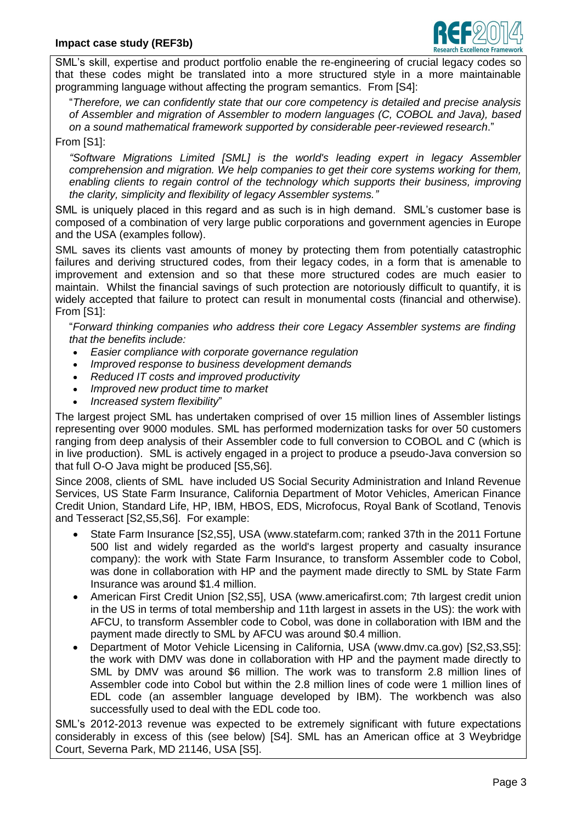

SML's skill, expertise and product portfolio enable the re-engineering of crucial legacy codes so that these codes might be translated into a more structured style in a more maintainable programming language without affecting the program semantics. From [S4]:

"*Therefore, we can confidently state that our core competency is detailed and precise analysis of Assembler and migration of Assembler to modern languages (C, COBOL and Java), based on a sound mathematical framework supported by considerable peer-reviewed research*."

## From [S1]:

*"Software Migrations Limited [SML] is the world's leading expert in legacy Assembler comprehension and migration. We help companies to get their core systems working for them, enabling clients to regain control of the technology which supports their business, improving the clarity, simplicity and flexibility of legacy Assembler systems."*

SML is uniquely placed in this regard and as such is in high demand. SML's customer base is composed of a combination of very large public corporations and government agencies in Europe and the USA (examples follow).

SML saves its clients vast amounts of money by protecting them from potentially catastrophic failures and deriving structured codes, from their legacy codes, in a form that is amenable to improvement and extension and so that these more structured codes are much easier to maintain. Whilst the financial savings of such protection are notoriously difficult to quantify, it is widely accepted that failure to protect can result in monumental costs (financial and otherwise). From [S1]:

"*Forward thinking companies who address their core Legacy Assembler systems are finding that the benefits include:*

- *Easier compliance with corporate governance regulation*
- *Improved response to business development demands*
- *Reduced IT costs and improved productivity*
- *Improved new product time to market*
- *Increased system flexibility*"

The largest project SML has undertaken comprised of over 15 million lines of Assembler listings representing over 9000 modules. SML has performed modernization tasks for over 50 customers ranging from deep analysis of their Assembler code to full conversion to COBOL and C (which is in live production). SML is actively engaged in a project to produce a pseudo-Java conversion so that full O-O Java might be produced [S5,S6].

Since 2008, clients of SML have included US Social Security Administration and Inland Revenue Services, US State Farm Insurance, California Department of Motor Vehicles, American Finance Credit Union, Standard Life, HP, IBM, HBOS, EDS, Microfocus, Royal Bank of Scotland, Tenovis and Tesseract [S2,S5,S6]. For example:

- State Farm Insurance [S2,S5], USA (www.statefarm.com; ranked 37th in the 2011 Fortune 500 list and widely regarded as the world's largest property and casualty insurance company): the work with State Farm Insurance, to transform Assembler code to Cobol, was done in collaboration with HP and the payment made directly to SML by State Farm Insurance was around \$1.4 million.
- American First Credit Union [S2,S5], USA (www.americafirst.com; 7th largest credit union in the US in terms of total membership and 11th largest in assets in the US): the work with AFCU, to transform Assembler code to Cobol, was done in collaboration with IBM and the payment made directly to SML by AFCU was around \$0.4 million.
- Department of Motor Vehicle Licensing in California, USA (www.dmv.ca.gov) [S2,S3,S5]: the work with DMV was done in collaboration with HP and the payment made directly to SML by DMV was around \$6 million. The work was to transform 2.8 million lines of Assembler code into Cobol but within the 2.8 million lines of code were 1 million lines of EDL code (an assembler language developed by IBM). The workbench was also successfully used to deal with the EDL code too.

SML's 2012-2013 revenue was expected to be extremely significant with future expectations considerably in excess of this (see below) [S4]. SML has an American office at 3 Weybridge Court, Severna Park, MD 21146, USA [S5].